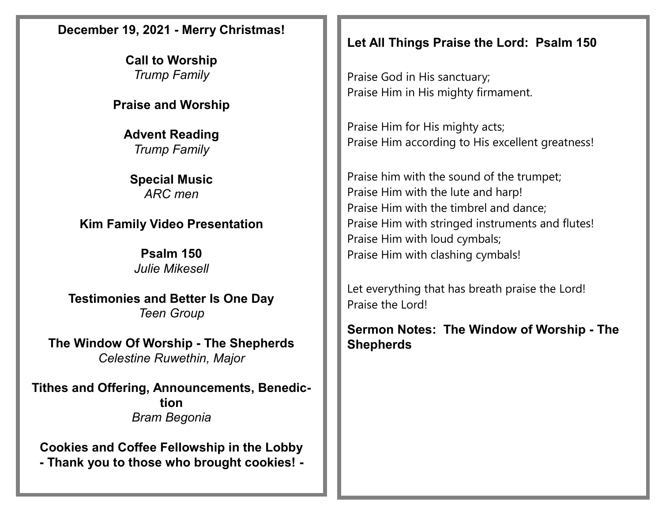## **December 19, 2021 - Merry Christmas!**

**Call to Worship**  *Trump Family*

**Praise and Worship**

**Advent Reading** *Trump Family*

**Special Music** *ARC men*

**Kim Family Video Presentation**

**Psalm 150** *Julie Mikesell*

**Testimonies and Better Is One Day** *Teen Group*

**The Window Of Worship - The Shepherds** *Celestine Ruwethin, Major*

**Tithes and Offering, Announcements, Benediction** *Bram Begonia*

**Cookies and Coffee Fellowship in the Lobby - Thank you to those who brought cookies! -**

## **Let All Things Praise the Lord: Psalm 150**

Praise God in His sanctuary; Praise Him in His mighty firmament.

Praise Him for His mighty acts; Praise Him according to His excellent greatness!

Praise him with the sound of the trumpet; Praise Him with the lute and harp! Praise Him with the timbrel and dance; Praise Him with stringed instruments and flutes! Praise Him with loud cymbals; Praise Him with clashing cymbals!

Let everything that has breath praise the Lord! Praise the Lord!

**Sermon Notes: The Window of Worship - The Shepherds**